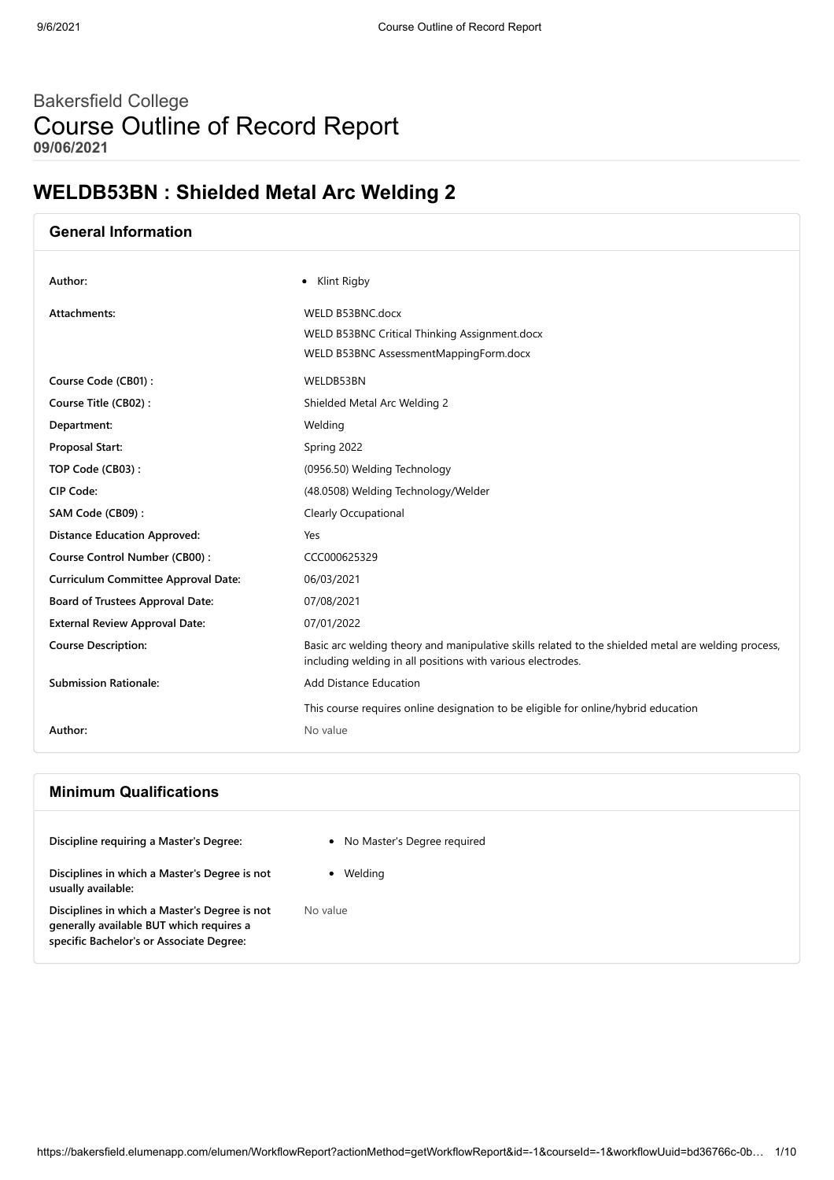## Bakersfield College Course Outline of Record Report **09/06/2021**

## **WELDB53BN : Shielded Metal Arc Welding 2**

| <b>General Information</b>                 |                                                                                                                                                                    |
|--------------------------------------------|--------------------------------------------------------------------------------------------------------------------------------------------------------------------|
| Author:                                    | • Klint Rigby                                                                                                                                                      |
| Attachments:                               | WELD B53BNC.docx                                                                                                                                                   |
|                                            | WELD B53BNC Critical Thinking Assignment.docx                                                                                                                      |
|                                            | WELD B53BNC AssessmentMappingForm.docx                                                                                                                             |
| Course Code (CB01):                        | WELDB53BN                                                                                                                                                          |
| Course Title (CB02):                       | Shielded Metal Arc Welding 2                                                                                                                                       |
| Department:                                | Welding                                                                                                                                                            |
| Proposal Start:                            | Spring 2022                                                                                                                                                        |
| TOP Code (CB03):                           | (0956.50) Welding Technology                                                                                                                                       |
| CIP Code:                                  | (48.0508) Welding Technology/Welder                                                                                                                                |
| SAM Code (CB09):                           | <b>Clearly Occupational</b>                                                                                                                                        |
| <b>Distance Education Approved:</b>        | Yes                                                                                                                                                                |
| Course Control Number (CB00):              | CCC000625329                                                                                                                                                       |
| <b>Curriculum Committee Approval Date:</b> | 06/03/2021                                                                                                                                                         |
| Board of Trustees Approval Date:           | 07/08/2021                                                                                                                                                         |
| <b>External Review Approval Date:</b>      | 07/01/2022                                                                                                                                                         |
| <b>Course Description:</b>                 | Basic arc welding theory and manipulative skills related to the shielded metal are welding process,<br>including welding in all positions with various electrodes. |
| <b>Submission Rationale:</b>               | <b>Add Distance Education</b>                                                                                                                                      |
|                                            | This course requires online designation to be eligible for online/hybrid education                                                                                 |
| Author:                                    | No value                                                                                                                                                           |

## **Minimum Qualifications**

**Discipline requiring a Master's Degree:** No Master's Degree required

**Disciplines in which a Master's Degree is not usually available:**

**Disciplines in which a Master's Degree is not generally available BUT which requires a specific Bachelor's or Associate Degree:**

- 
- Welding

No value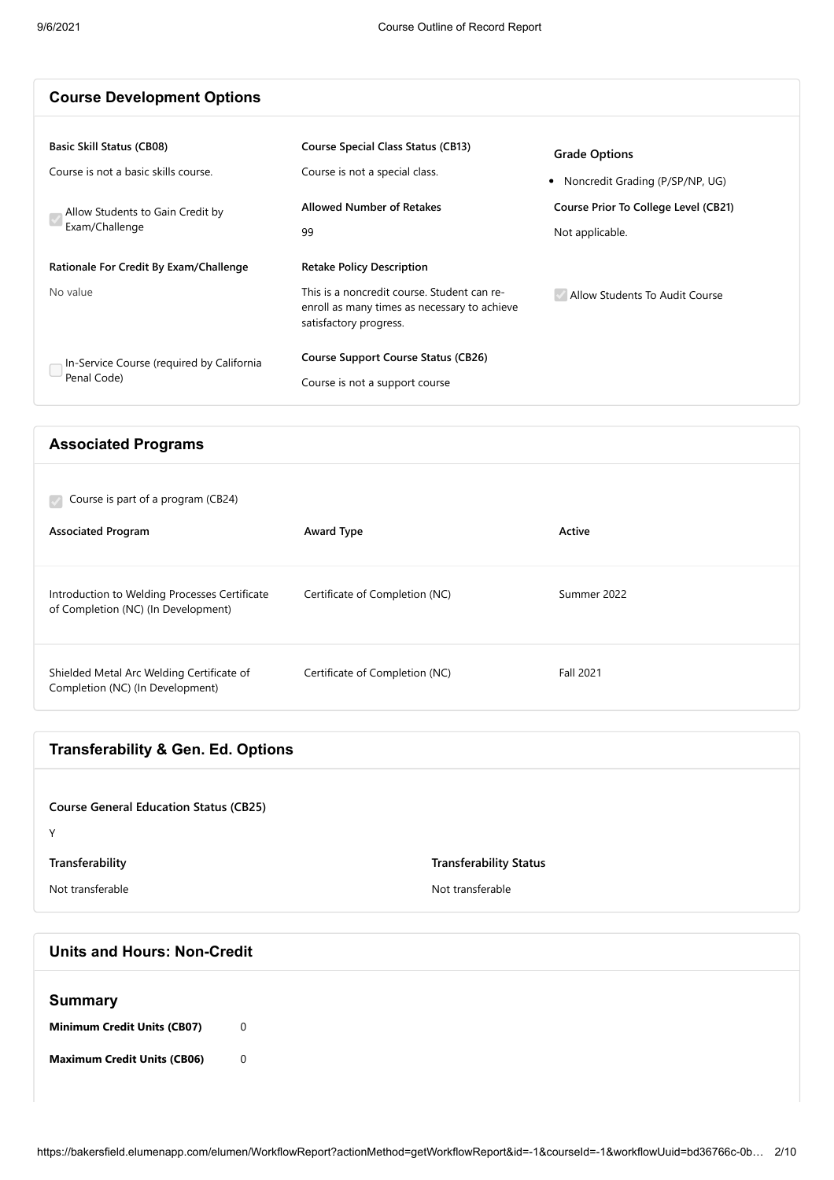| <b>Course Development Options</b>                        |                                                                                                                       |                                                         |
|----------------------------------------------------------|-----------------------------------------------------------------------------------------------------------------------|---------------------------------------------------------|
| <b>Basic Skill Status (CB08)</b>                         | <b>Course Special Class Status (CB13)</b>                                                                             | <b>Grade Options</b>                                    |
| Course is not a basic skills course.                     | Course is not a special class.                                                                                        | • Noncredit Grading (P/SP/NP, UG)                       |
| Allow Students to Gain Credit by<br>Exam/Challenge       | <b>Allowed Number of Retakes</b><br>99                                                                                | Course Prior To College Level (CB21)<br>Not applicable. |
| Rationale For Credit By Exam/Challenge                   | <b>Retake Policy Description</b>                                                                                      |                                                         |
| No value                                                 | This is a noncredit course. Student can re-<br>enroll as many times as necessary to achieve<br>satisfactory progress. | Allow Students To Audit Course                          |
| In-Service Course (required by California<br>Penal Code) | <b>Course Support Course Status (CB26)</b><br>Course is not a support course                                          |                                                         |

#### **Associated Programs**

| Course is part of a program (CB24)                                                   |                                |             |
|--------------------------------------------------------------------------------------|--------------------------------|-------------|
| <b>Associated Program</b>                                                            | Award Type                     | Active      |
| Introduction to Welding Processes Certificate<br>of Completion (NC) (In Development) | Certificate of Completion (NC) | Summer 2022 |
| Shielded Metal Arc Welding Certificate of<br>Completion (NC) (In Development)        | Certificate of Completion (NC) | Fall 2021   |

| <b>Transferability &amp; Gen. Ed. Options</b> |                               |
|-----------------------------------------------|-------------------------------|
|                                               |                               |
| <b>Course General Education Status (CB25)</b> |                               |
| Υ                                             |                               |
| Transferability                               | <b>Transferability Status</b> |
| Not transferable                              | Not transferable              |
|                                               |                               |

# **Units and Hours: Non-Credit Summary Minimum Credit Units (CB07)** 0 **Maximum Credit Units (CB06)** 0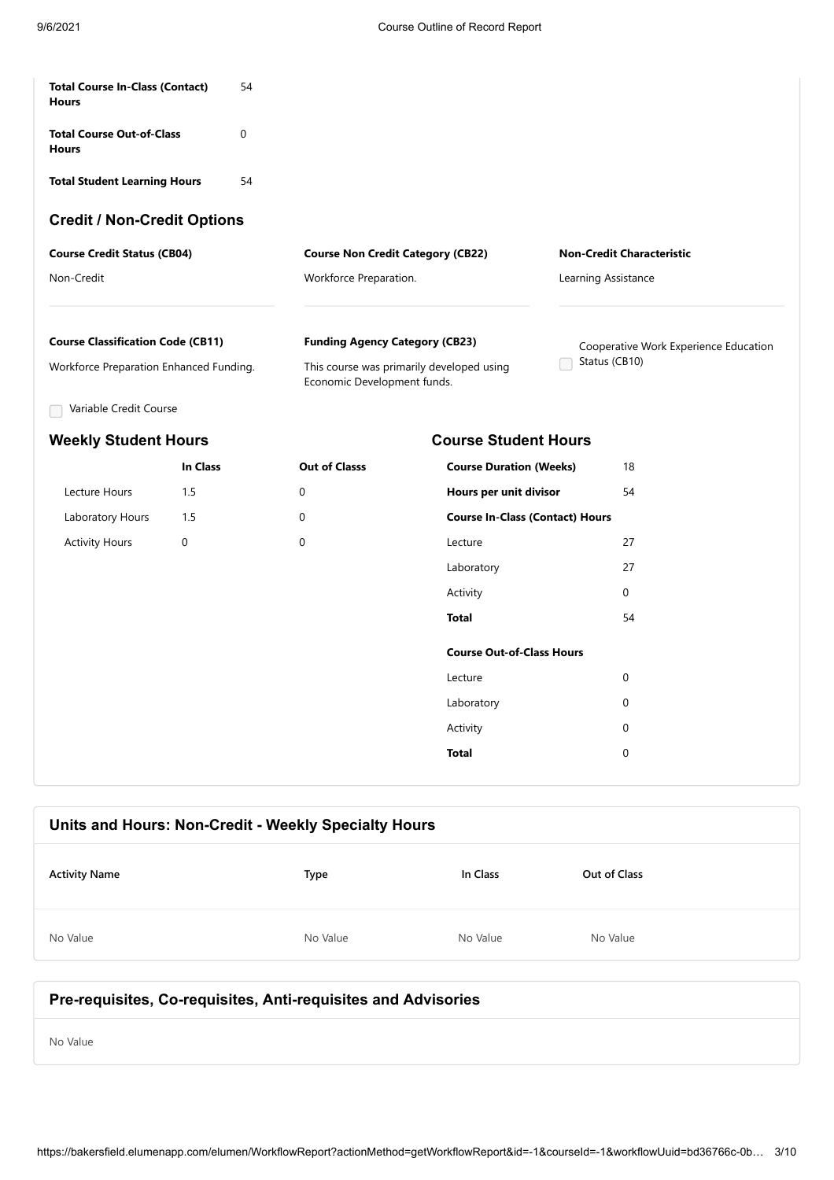| <b>Total Course In-Class (Contact)</b><br><b>Hours</b> | 54       |                                          |                                           |                                       |  |
|--------------------------------------------------------|----------|------------------------------------------|-------------------------------------------|---------------------------------------|--|
| <b>Total Course Out-of-Class</b><br><b>Hours</b>       | 0        |                                          |                                           |                                       |  |
| <b>Total Student Learning Hours</b>                    | 54       |                                          |                                           |                                       |  |
| <b>Credit / Non-Credit Options</b>                     |          |                                          |                                           |                                       |  |
| <b>Course Credit Status (CB04)</b>                     |          | <b>Course Non Credit Category (CB22)</b> |                                           | <b>Non-Credit Characteristic</b>      |  |
| Non-Credit                                             |          | Workforce Preparation.                   |                                           | Learning Assistance                   |  |
| <b>Course Classification Code (CB11)</b>               |          | <b>Funding Agency Category (CB23)</b>    |                                           | Cooperative Work Experience Education |  |
| Workforce Preparation Enhanced Funding.                |          | Economic Development funds.              | This course was primarily developed using | Status (CB10)                         |  |
| Variable Credit Course                                 |          |                                          |                                           |                                       |  |
| <b>Weekly Student Hours</b>                            |          |                                          | <b>Course Student Hours</b>               |                                       |  |
|                                                        | In Class | <b>Out of Classs</b>                     | <b>Course Duration (Weeks)</b>            | 18                                    |  |
| Lecture Hours                                          | 1.5      | $\Omega$                                 | Hours per unit divisor                    | 54                                    |  |
| Laboratory Hours                                       | 1.5      | $\Omega$                                 | <b>Course In-Class (Contact) Hours</b>    |                                       |  |
| <b>Activity Hours</b>                                  | 0        | $\mathbf 0$                              | Lecture                                   | 27                                    |  |
|                                                        |          |                                          | Laboratory                                | 27                                    |  |
|                                                        |          |                                          | Activity                                  | $\Omega$                              |  |
|                                                        |          |                                          | <b>Total</b>                              | 54                                    |  |
|                                                        |          |                                          | <b>Course Out-of-Class Hours</b>          |                                       |  |
|                                                        |          |                                          | Lecture                                   | $\mathbf 0$                           |  |
|                                                        |          |                                          | Laboratory                                | $\mathbf 0$                           |  |
|                                                        |          |                                          | Activity                                  | 0                                     |  |
|                                                        |          |                                          | <b>Total</b>                              | $\Omega$                              |  |

| Units and Hours: Non-Credit - Weekly Specialty Hours |          |          |              |  |
|------------------------------------------------------|----------|----------|--------------|--|
| <b>Activity Name</b>                                 | Type     | In Class | Out of Class |  |
| No Value                                             | No Value | No Value | No Value     |  |
|                                                      |          |          |              |  |

## **Pre-requisites, Co-requisites, Anti-requisites and Advisories**

No Value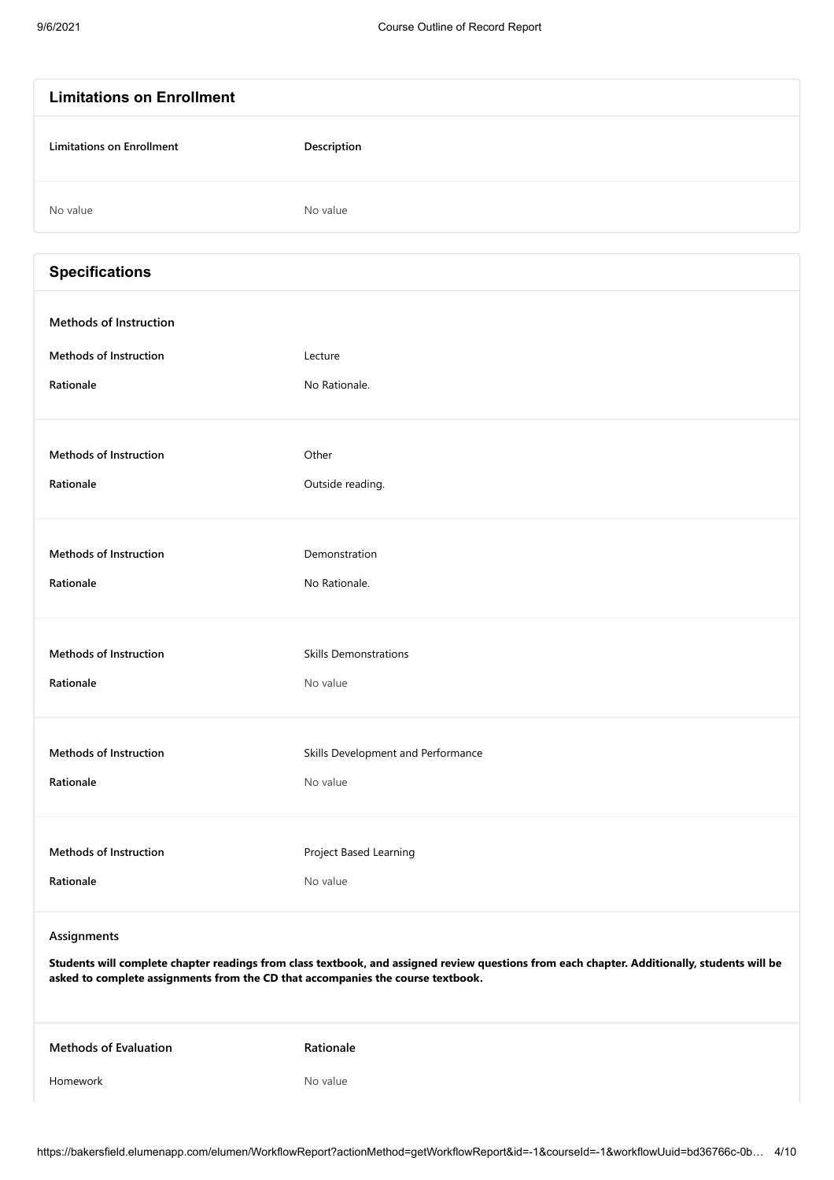| <b>Limitations on Enrollment</b>                                                               |                                                                                                                                              |
|------------------------------------------------------------------------------------------------|----------------------------------------------------------------------------------------------------------------------------------------------|
| <b>Limitations on Enrollment</b>                                                               | Description                                                                                                                                  |
| No value                                                                                       | No value                                                                                                                                     |
| <b>Specifications</b>                                                                          |                                                                                                                                              |
| <b>Methods of Instruction</b>                                                                  |                                                                                                                                              |
| <b>Methods of Instruction</b>                                                                  | Lecture                                                                                                                                      |
| Rationale                                                                                      | No Rationale.                                                                                                                                |
| <b>Methods of Instruction</b>                                                                  | Other                                                                                                                                        |
| Rationale                                                                                      | Outside reading.                                                                                                                             |
|                                                                                                |                                                                                                                                              |
| <b>Methods of Instruction</b>                                                                  | Demonstration                                                                                                                                |
| Rationale                                                                                      | No Rationale.                                                                                                                                |
|                                                                                                |                                                                                                                                              |
| <b>Methods of Instruction</b>                                                                  | <b>Skills Demonstrations</b>                                                                                                                 |
| Rationale                                                                                      | No value                                                                                                                                     |
| <b>Methods of Instruction</b>                                                                  | Skills Development and Performance                                                                                                           |
| Rationale                                                                                      | No value                                                                                                                                     |
|                                                                                                |                                                                                                                                              |
| <b>Methods of Instruction</b>                                                                  | Project Based Learning                                                                                                                       |
| Rationale                                                                                      | No value                                                                                                                                     |
| Assignments<br>asked to complete assignments from the CD that accompanies the course textbook. | Students will complete chapter readings from class textbook, and assigned review questions from each chapter. Additionally, students will be |
| <b>Methods of Evaluation</b>                                                                   | Rationale                                                                                                                                    |
| Homework                                                                                       | No value                                                                                                                                     |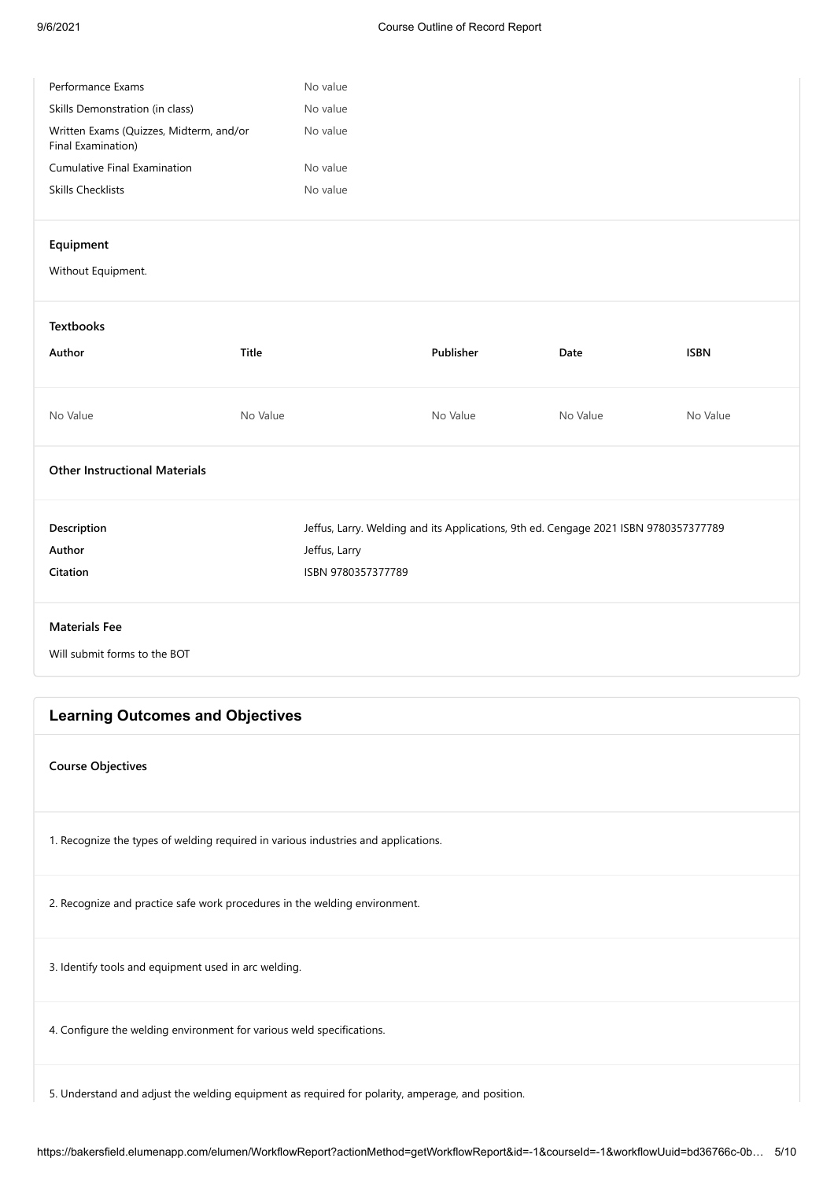| Performance Exams                                             | No value |
|---------------------------------------------------------------|----------|
| Skills Demonstration (in class)                               | No value |
| Written Exams (Quizzes, Midterm, and/or<br>Final Examination) | No value |
| <b>Cumulative Final Examination</b>                           | No value |
| Skills Checklists                                             | No value |
|                                                               |          |

#### **Equipment**

Without Equipment.

**Textbooks Author Title Publisher Date ISBN** No Value No Value No Value No Value No Value **Other Instructional Materials Description** Jeffus, Larry. Welding and its Applications, 9th ed. Cengage 2021 ISBN 9780357377789 **Author** Jeffus, Larry **Citation** ISBN 9780357377789

**Materials Fee**

Will submit forms to the BOT

#### **Learning Outcomes and Objectives**

**Course Objectives**

1. Recognize the types of welding required in various industries and applications.

2. Recognize and practice safe work procedures in the welding environment.

3. Identify tools and equipment used in arc welding.

4. Configure the welding environment for various weld specifications.

5. Understand and adjust the welding equipment as required for polarity, amperage, and position.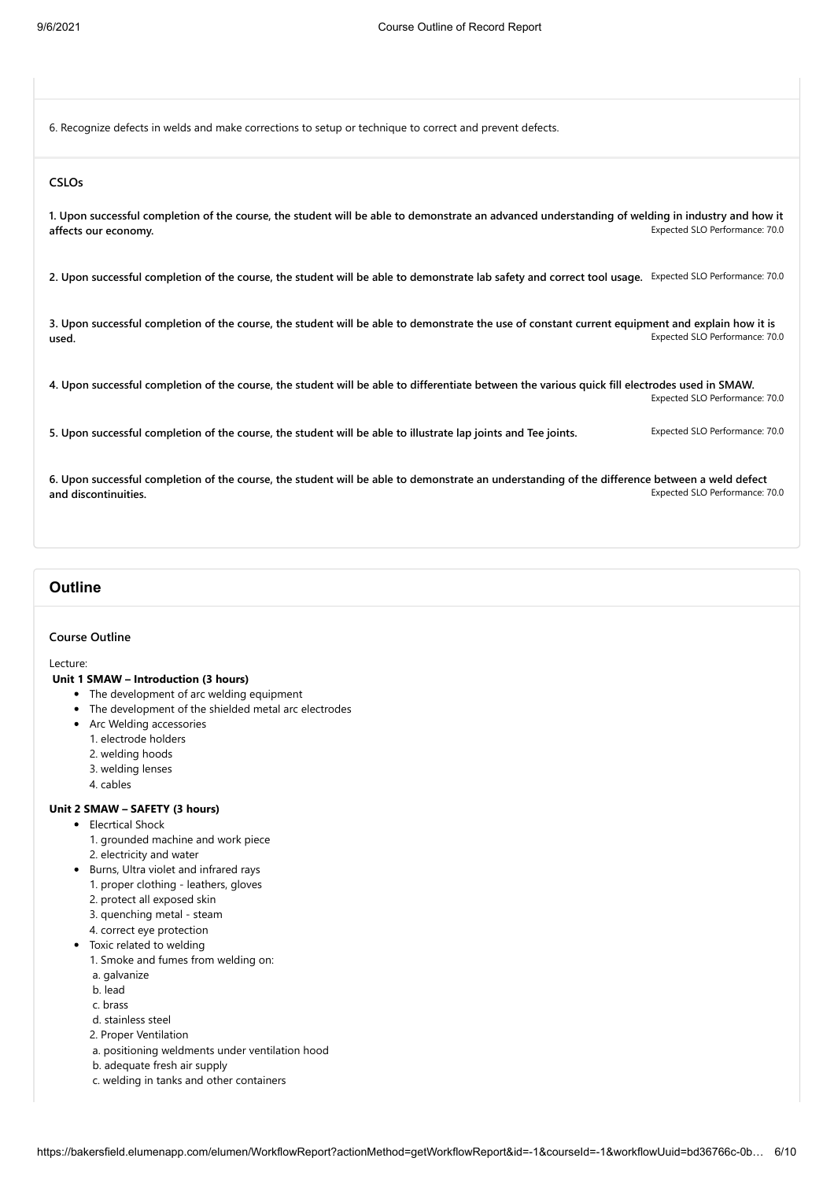6. Recognize defects in welds and make corrections to setup or technique to correct and prevent defects.

#### **CSLOs**

Expected SLO Performance: 70.0 **1. Upon successful completion of the course, the student will be able to demonstrate an advanced understanding of welding in industry and how it affects our economy.**

**2. Upon successful completion of the course, the student will be able to demonstrate lab safety and correct tool usage.** Expected SLO Performance: 70.0

Expected SLO Performance: 70.0 **3. Upon successful completion of the course, the student will be able to demonstrate the use of constant current equipment and explain how it is used.**

Expected SLO Performance: 70.0 **4. Upon successful completion of the course, the student will be able to differentiate between the various quick fill electrodes used in SMAW.**

5. Upon successful completion of the course, the student will be able to illustrate lap joints and Tee joints. **Expected SLO Performance: 70.0** 

Expected SLO Performance: 70.0 **6. Upon successful completion of the course, the student will be able to demonstrate an understanding of the difference between a weld defect and discontinuities.**

### **Outline**

#### **Course Outline**

Lecture:

#### **Unit 1 SMAW – Introduction (3 hours)**

- The development of arc welding equipment
- The development of the shielded metal arc electrodes
- Arc Welding accessories
	- 1. electrode holders
	- 2. welding hoods
	- 3. welding lenses
	- 4. cables

#### **Unit 2 SMAW – SAFETY (3 hours)**

- Elecrtical Shock
	- 1. grounded machine and work piece
	- 2. electricity and water
- Burns, Ultra violet and infrared rays
	- 1. proper clothing leathers, gloves
	- 2. protect all exposed skin
	- 3. quenching metal steam
	- 4. correct eye protection
- Toxic related to welding
	- 1. Smoke and fumes from welding on:
	- a. galvanize
	- b. lead
	- c. brass
	- d. stainless steel
	- 2. Proper Ventilation
	- a. positioning weldments under ventilation hood
	- b. adequate fresh air supply
	- c. welding in tanks and other containers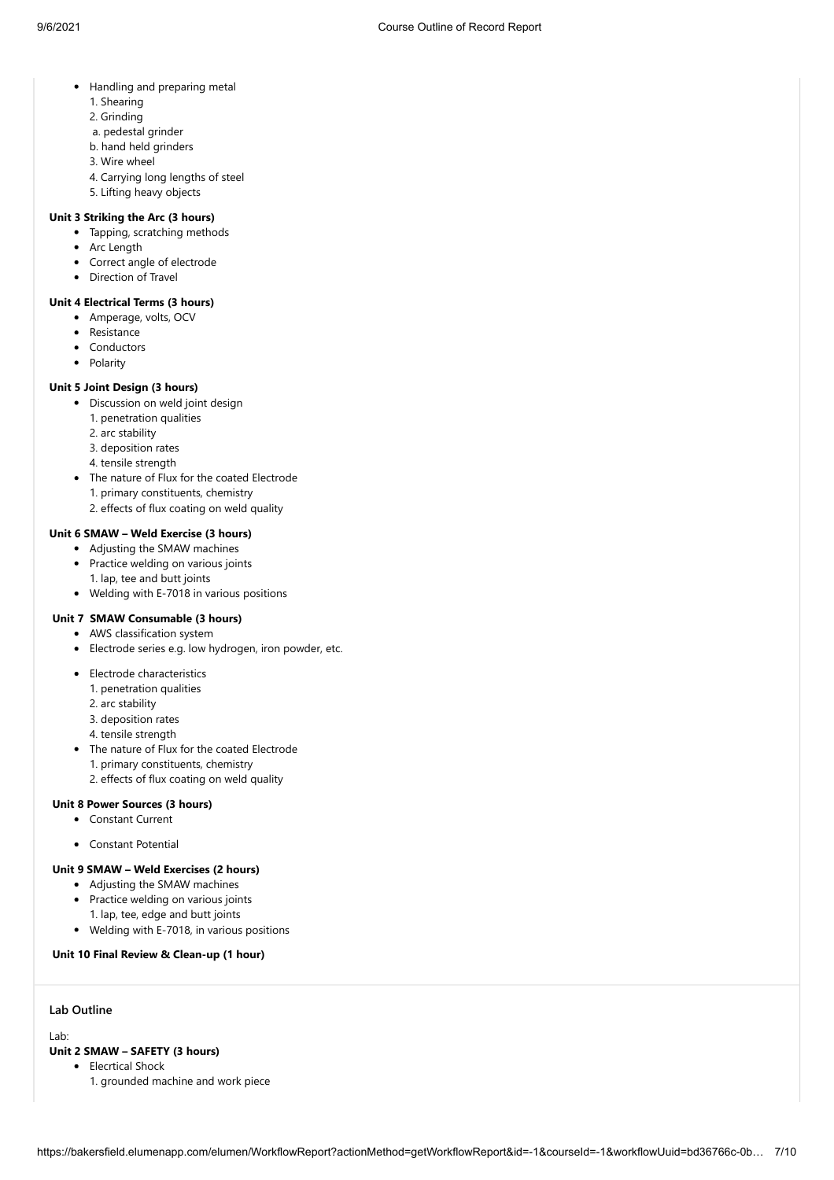- Handling and preparing metal
	- 1. Shearing
	- 2. Grinding
	- a. pedestal grinder
	- b. hand held grinders
	- 3. Wire wheel
	- 4. Carrying long lengths of steel
	- 5. Lifting heavy objects

#### **Unit 3 Striking the Arc (3 hours)**

- Tapping, scratching methods
- Arc Length
- Correct angle of electrode
- Direction of Travel

#### **Unit 4 Electrical Terms (3 hours)**

- Amperage, volts, OCV
- Resistance
- Conductors
- Polarity

#### **Unit 5 Joint Design (3 hours)**

- Discussion on weld joint design
	- 1. penetration qualities
	- 2. arc stability
	- 3. deposition rates
	- 4. tensile strength
- The nature of Flux for the coated Electrode
	- 1. primary constituents, chemistry
	- 2. effects of flux coating on weld quality

#### **Unit 6 SMAW – Weld Exercise (3 hours)**

- Adjusting the SMAW machines
- Practice welding on various joints 1. lap, tee and butt joints
- Welding with E-7018 in various positions

#### **Unit 7 SMAW Consumable (3 hours)**

- AWS classification system
- Electrode series e.g. low hydrogen, iron powder, etc.
- Electrode characteristics
	- 1. penetration qualities
	- 2. arc stability
	- 3. deposition rates
	- 4. tensile strength
- The nature of Flux for the coated Electrode
	- 1. primary constituents, chemistry
	- 2. effects of flux coating on weld quality

#### **Unit 8 Power Sources (3 hours)**

- Constant Current
- Constant Potential

#### **Unit 9 SMAW – Weld Exercises (2 hours)**

- Adjusting the SMAW machines
- Practice welding on various joints
	- 1. lap, tee, edge and butt joints
- Welding with E-7018, in various positions

#### **Unit 10 Final Review & Clean-up (1 hour)**

#### **Lab Outline**

Lab:

#### **Unit 2 SMAW – SAFETY (3 hours)**

- Elecrtical Shock
	- 1. grounded machine and work piece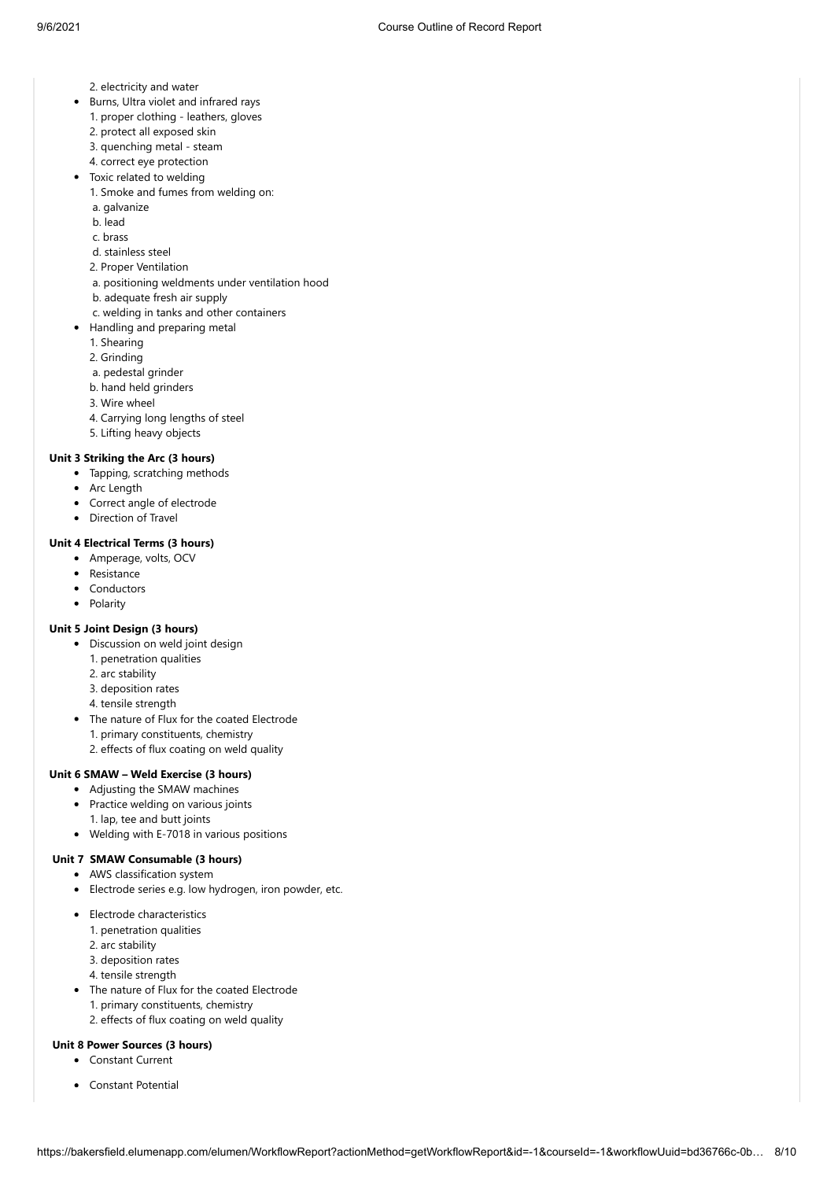- 2. electricity and water
- Burns, Ultra violet and infrared rays
	- 1. proper clothing leathers, gloves
	- 2. protect all exposed skin
	- 3. quenching metal steam
	- 4. correct eye protection
- Toxic related to welding
	- 1. Smoke and fumes from welding on:
	- a. galvanize
	- b. lead
	- c. brass
	- d. stainless steel
	- 2. Proper Ventilation
	- a. positioning weldments under ventilation hood
	- b. adequate fresh air supply
	- c. welding in tanks and other containers
- Handling and preparing metal
	- 1. Shearing
	- 2. Grinding
	- a. pedestal grinder
	- b. hand held grinders
	- 3. Wire wheel
	- 4. Carrying long lengths of steel
	- 5. Lifting heavy objects

#### **Unit 3 Striking the Arc (3 hours)**

- Tapping, scratching methods
- Arc Length
- Correct angle of electrode
- Direction of Travel

#### **Unit 4 Electrical Terms (3 hours)**

- Amperage, volts, OCV
- Resistance
- Conductors
- Polarity

#### **Unit 5 Joint Design (3 hours)**

- Discussion on weld joint design
	- 1. penetration qualities
	- 2. arc stability
	- 3. deposition rates
	- 4. tensile strength
- The nature of Flux for the coated Electrode 1. primary constituents, chemistry
	- 2. effects of flux coating on weld quality

#### **Unit 6 SMAW – Weld Exercise (3 hours)**

- Adjusting the SMAW machines
- Practice welding on various joints
- 1. lap, tee and butt joints
- Welding with E-7018 in various positions

## **Unit 7 SMAW Consumable (3 hours)**

## AWS classification system

- Electrode series e.g. low hydrogen, iron powder, etc.
- Electrode characteristics
	- 1. penetration qualities
	- 2. arc stability
	- 3. deposition rates
	- 4. tensile strength
- The nature of Flux for the coated Electrode 1. primary constituents, chemistry 2. effects of flux coating on weld quality

#### **Unit 8 Power Sources (3 hours)**

- Constant Current
- Constant Potential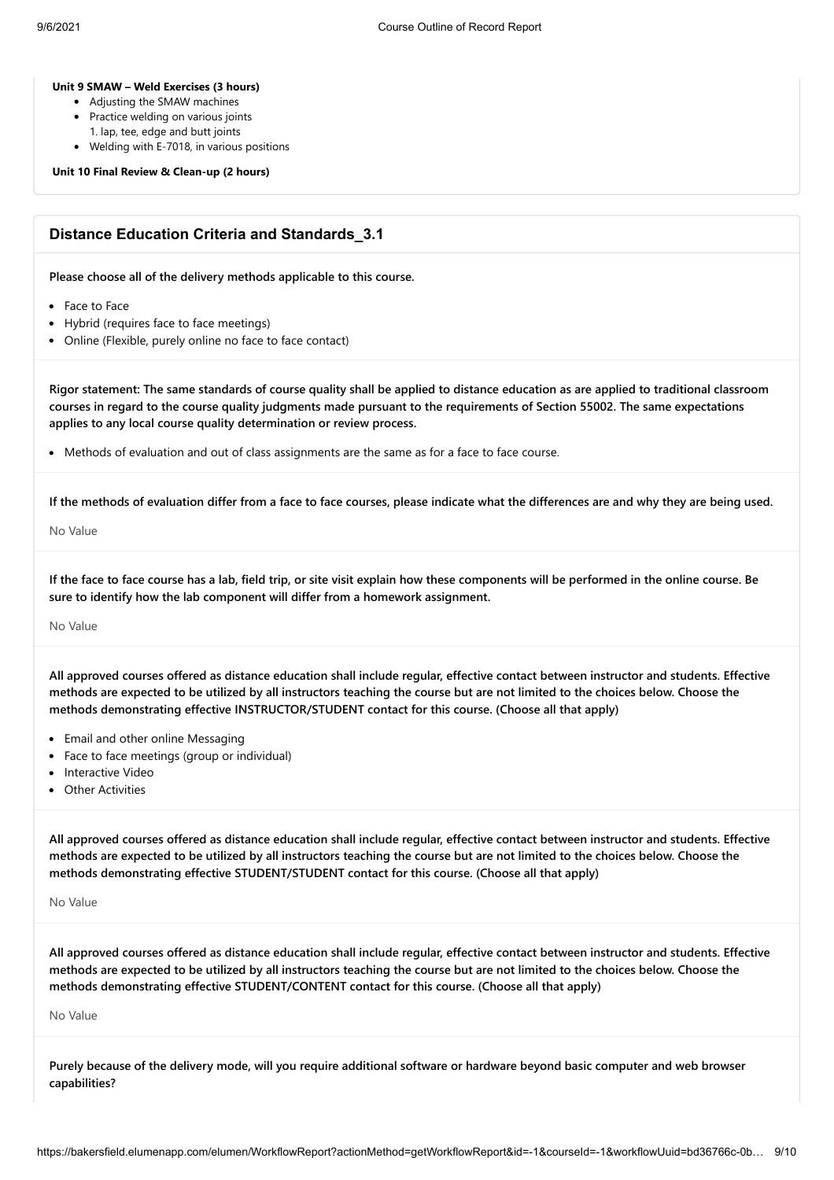#### **Unit 9 SMAW – Weld Exercises (3 hours)**

- Adjusting the SMAW machines
- Practice welding on various joints
	- 1. lap, tee, edge and butt joints
- Welding with E-7018, in various positions

**Unit 10 Final Review & Clean-up (2 hours)**

### **Distance Education Criteria and Standards\_3.1**

**Please choose all of the delivery methods applicable to this course.**

- Face to Face
- Hybrid (requires face to face meetings)
- Online (Flexible, purely online no face to face contact)

**Rigor statement: The same standards of course quality shall be applied to distance education as are applied to traditional classroom courses in regard to the course quality judgments made pursuant to the requirements of Section 55002. The same expectations applies to any local course quality determination or review process.**

• Methods of evaluation and out of class assignments are the same as for a face to face course.

**If the methods of evaluation differ from a face to face courses, please indicate what the differences are and why they are being used.**

No Value

**If the face to face course has a lab, field trip, or site visit explain how these components will be performed in the online course. Be sure to identify how the lab component will differ from a homework assignment.**

#### No Value

**All approved courses offered as distance education shall include regular, effective contact between instructor and students. Effective methods are expected to be utilized by all instructors teaching the course but are not limited to the choices below. Choose the methods demonstrating effective INSTRUCTOR/STUDENT contact for this course. (Choose all that apply)**

- Email and other online Messaging
- Face to face meetings (group or individual)
- Interactive Video
- Other Activities

**All approved courses offered as distance education shall include regular, effective contact between instructor and students. Effective methods are expected to be utilized by all instructors teaching the course but are not limited to the choices below. Choose the methods demonstrating effective STUDENT/STUDENT contact for this course. (Choose all that apply)**

No Value

**All approved courses offered as distance education shall include regular, effective contact between instructor and students. Effective methods are expected to be utilized by all instructors teaching the course but are not limited to the choices below. Choose the methods demonstrating effective STUDENT/CONTENT contact for this course. (Choose all that apply)**

No Value

**Purely because of the delivery mode, will you require additional software or hardware beyond basic computer and web browser capabilities?**